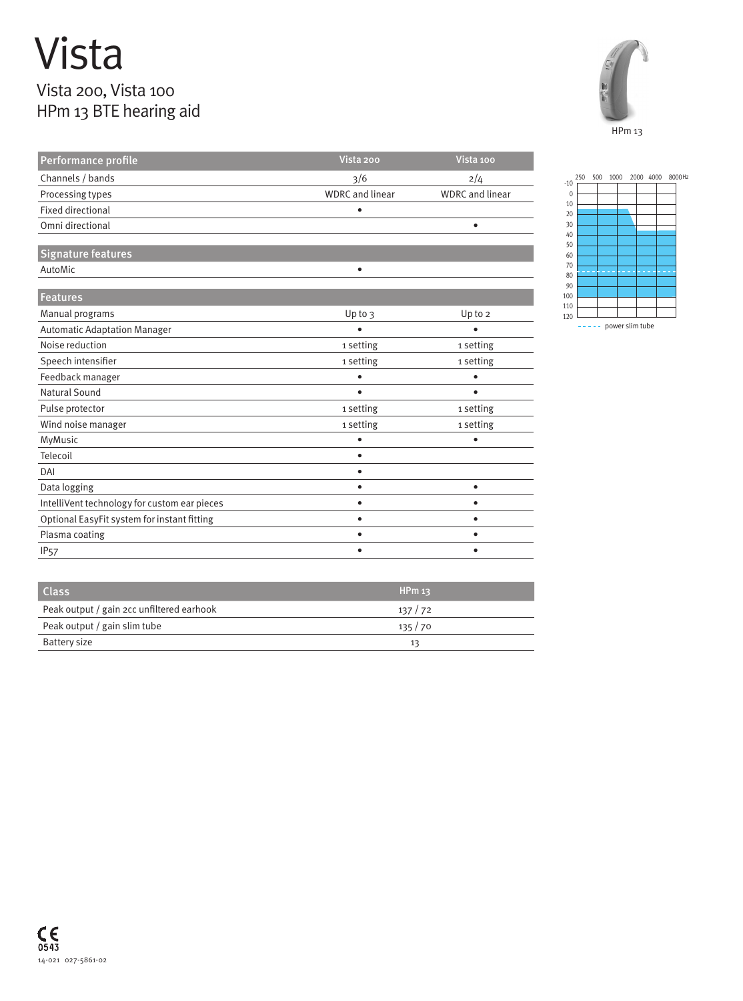## Vista Vista 200, Vista 100

## HPm 13 BTE hearing aid



| Performance profile                          | Vista 200              | Vista 100              |  |  |
|----------------------------------------------|------------------------|------------------------|--|--|
| Channels / bands                             | 3/6                    | 2/4                    |  |  |
| Processing types                             | <b>WDRC</b> and linear | <b>WDRC</b> and linear |  |  |
| <b>Fixed directional</b>                     | ٠                      |                        |  |  |
| Omni directional                             |                        | $\bullet$              |  |  |
|                                              |                        |                        |  |  |
| Signature features                           |                        |                        |  |  |
| AutoMic                                      | ٠                      |                        |  |  |
| <b>Features</b>                              |                        |                        |  |  |
| Manual programs                              | Up to $3$              | Up to 2                |  |  |
| <b>Automatic Adaptation Manager</b>          |                        |                        |  |  |
|                                              |                        |                        |  |  |
| Noise reduction                              | 1 setting              | 1 setting              |  |  |
| Speech intensifier                           | 1 setting              | 1 setting              |  |  |
| Feedback manager                             | $\bullet$              | $\bullet$              |  |  |
| Natural Sound                                | ٠                      | ٠                      |  |  |
| Pulse protector                              | 1 setting              | 1 setting              |  |  |
| Wind noise manager                           | 1 setting              | 1 setting              |  |  |
| MyMusic                                      | $\bullet$              | $\bullet$              |  |  |
| Telecoil                                     | $\bullet$              |                        |  |  |
| DAI                                          | $\bullet$              |                        |  |  |
| Data logging                                 | ٠                      | $\bullet$              |  |  |
| IntelliVent technology for custom ear pieces | ٠                      | $\bullet$              |  |  |
| Optional EasyFit system for instant fitting  | ٠                      | $\bullet$              |  |  |
| Plasma coating                               | ٠                      | $\bullet$              |  |  |
| <b>IP<sub>57</sub></b>                       | ٠                      | ٠                      |  |  |



Class **HPm 13** and the control of the control of the control of the control of the control of the control of the control of the control of the control of the control of the control of the control of the control of the cont Peak output / gain 2cc unfiltered earhook 137 / 72 Peak output / gain slim tube 135 / 70 Battery size 13